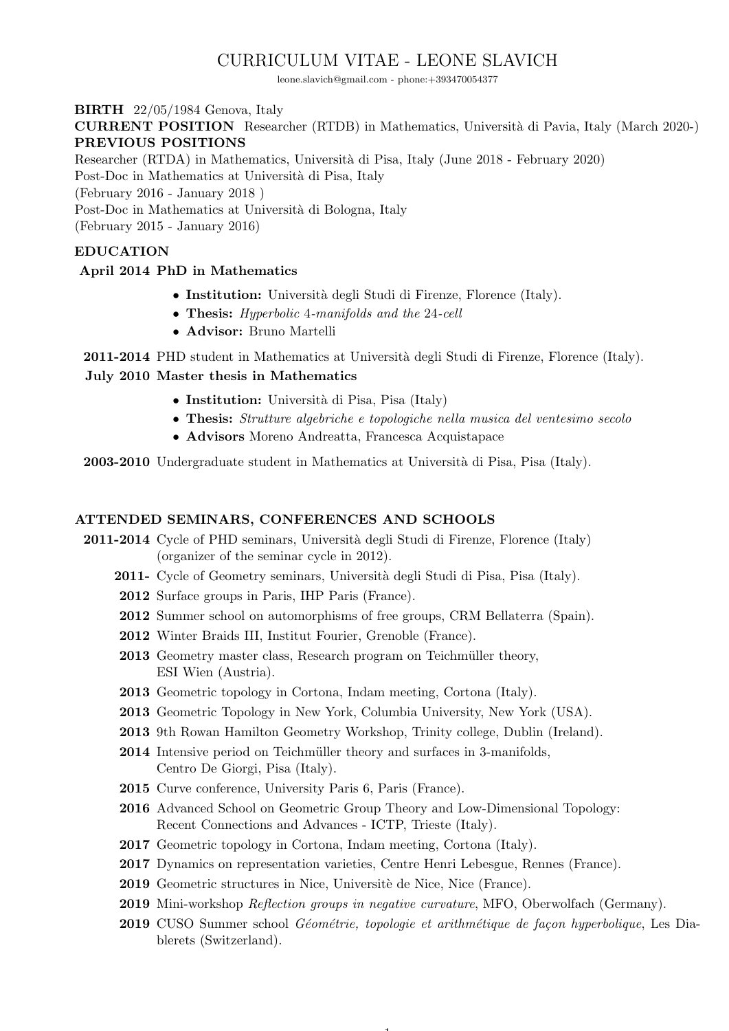# CURRICULUM VITAE - LEONE SLAVICH

leone.slavich@gmail.com - phone:+393470054377

BIRTH 22/05/1984 Genova, Italy

CURRENT POSITION Researcher (RTDB) in Mathematics, Universit`a di Pavia, Italy (March 2020-) PREVIOUS POSITIONS

Researcher (RTDA) in Mathematics, Universit`a di Pisa, Italy (June 2018 - February 2020)

Post-Doc in Mathematics at Università di Pisa, Italy

(February 2016 - January 2018 )

Post-Doc in Mathematics at Università di Bologna, Italy

(February 2015 - January 2016)

# EDUCATION

# April 2014 PhD in Mathematics

- Institution: Università degli Studi di Firenze, Florence (Italy).
- Thesis: Hyperbolic 4-manifolds and the 24-cell
- Advisor: Bruno Martelli

2011-2014 PHD student in Mathematics at Università degli Studi di Firenze, Florence (Italy).

# July 2010 Master thesis in Mathematics

- $\bullet$  Institution: Università di Pisa, Pisa (Italy)
- Thesis: Strutture algebriche e topologiche nella musica del ventesimo secolo
- Advisors Moreno Andreatta, Francesca Acquistapace

2003-2010 Undergraduate student in Mathematics at Universit`a di Pisa, Pisa (Italy).

# ATTENDED SEMINARS, CONFERENCES AND SCHOOLS

- 2011-2014 Cycle of PHD seminars, Università degli Studi di Firenze, Florence (Italy) (organizer of the seminar cycle in 2012).
	- 2011- Cycle of Geometry seminars, Universit`a degli Studi di Pisa, Pisa (Italy).
	- 2012 Surface groups in Paris, IHP Paris (France).
	- 2012 Summer school on automorphisms of free groups, CRM Bellaterra (Spain).
	- 2012 Winter Braids III, Institut Fourier, Grenoble (France).
	- 2013 Geometry master class, Research program on Teichmüller theory, ESI Wien (Austria).
	- 2013 Geometric topology in Cortona, Indam meeting, Cortona (Italy).
	- 2013 Geometric Topology in New York, Columbia University, New York (USA).
	- 2013 9th Rowan Hamilton Geometry Workshop, Trinity college, Dublin (Ireland).
	- 2014 Intensive period on Teichmüller theory and surfaces in 3-manifolds, Centro De Giorgi, Pisa (Italy).
	- 2015 Curve conference, University Paris 6, Paris (France).
	- 2016 Advanced School on Geometric Group Theory and Low-Dimensional Topology: Recent Connections and Advances - ICTP, Trieste (Italy).
	- 2017 Geometric topology in Cortona, Indam meeting, Cortona (Italy).
	- 2017 Dynamics on representation varieties, Centre Henri Lebesgue, Rennes (France).
	- 2019 Geometric structures in Nice, Universitè de Nice, Nice (France).
	- 2019 Mini-workshop Reflection groups in negative curvature, MFO, Oberwolfach (Germany).

 $\mathbf{1}$ 

2019 CUSO Summer school *Géométrie, topologie et arithmétique de façon hyperbolique*. Les Diablerets (Switzerland).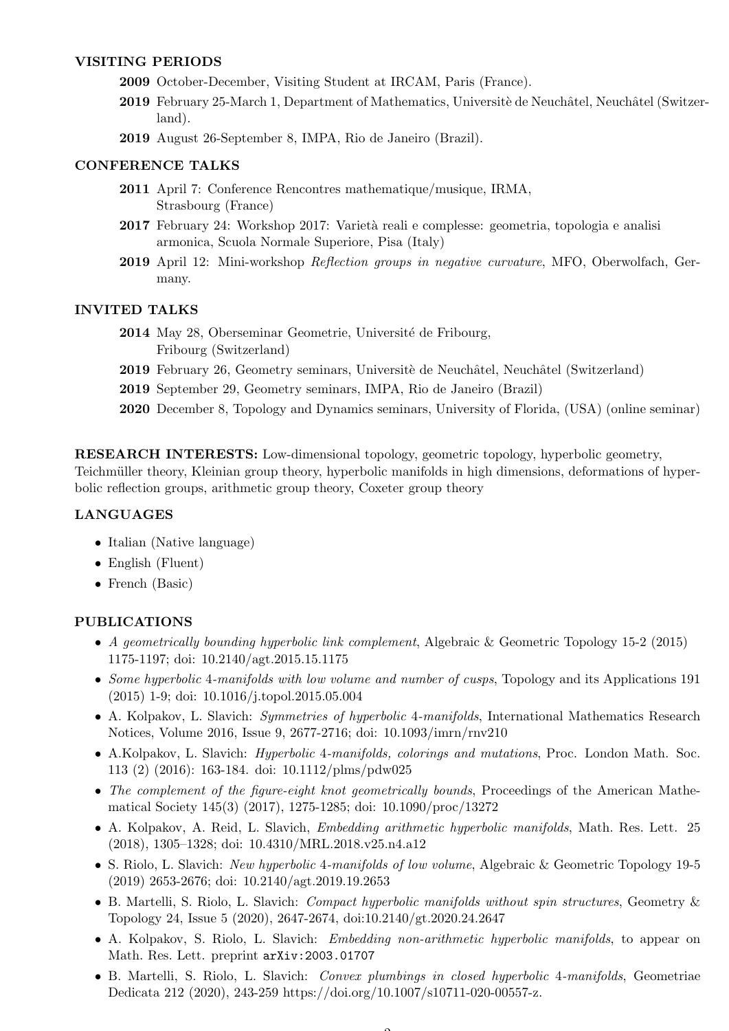## VISITING PERIODS

- 2009 October-December, Visiting Student at IRCAM, Paris (France).
- 2019 February 25-March 1, Department of Mathematics, Universitè de Neuchâtel, Neuchâtel (Switzerland).
- 2019 August 26-September 8, IMPA, Rio de Janeiro (Brazil).

### CONFERENCE TALKS

- 2011 April 7: Conference Rencontres mathematique/musique, IRMA, Strasbourg (France)
- 2017 February 24: Workshop 2017: Varietà reali e complesse: geometria, topologia e analisi armonica, Scuola Normale Superiore, Pisa (Italy)
- 2019 April 12: Mini-workshop Reflection groups in negative curvature, MFO, Oberwolfach, Germany.

#### INVITED TALKS

- 2014 May 28, Oberseminar Geometrie, Université de Fribourg, Fribourg (Switzerland)
- 2019 February 26, Geometry seminars, Universitè de Neuchâtel, Neuchâtel (Switzerland)
- 2019 September 29, Geometry seminars, IMPA, Rio de Janeiro (Brazil)
- 2020 December 8, Topology and Dynamics seminars, University of Florida, (USA) (online seminar)

RESEARCH INTERESTS: Low-dimensional topology, geometric topology, hyperbolic geometry,

Teichmüller theory, Kleinian group theory, hyperbolic manifolds in high dimensions, deformations of hyperbolic reflection groups, arithmetic group theory, Coxeter group theory

## LANGUAGES

- Italian (Native language)
- English (Fluent)
- French (Basic)

#### PUBLICATIONS

- A geometrically bounding hyperbolic link complement, Algebraic & Geometric Topology 15-2 (2015) 1175-1197; doi: 10.2140/agt.2015.15.1175
- Some hyperbolic 4-manifolds with low volume and number of cusps. Topology and its Applications 191 (2015) 1-9; doi: 10.1016/j.topol.2015.05.004
- A. Kolpakov, L. Slavich: Symmetries of hyperbolic 4-manifolds, International Mathematics Research Notices, Volume 2016, Issue 9, 2677-2716; doi: 10.1093/imrn/rnv210
- A.Kolpakov, L. Slavich: *Hyperbolic 4-manifolds, colorings and mutations*, Proc. London Math. Soc. 113 (2) (2016): 163-184. doi: 10.1112/plms/pdw025
- The complement of the figure-eight knot geometrically bounds, Proceedings of the American Mathematical Society 145(3) (2017), 1275-1285; doi: 10.1090/proc/13272
- A. Kolpakov, A. Reid, L. Slavich, Embedding arithmetic hyperbolic manifolds, Math. Res. Lett. 25 (2018), 1305–1328; doi: 10.4310/MRL.2018.v25.n4.a12
- S. Riolo, L. Slavich: *New hyperbolic 4-manifolds of low volume*, Algebraic & Geometric Topology 19-5 (2019) 2653-2676; doi: 10.2140/agt.2019.19.2653
- B. Martelli, S. Riolo, L. Slavich: Compact hyperbolic manifolds without spin structures, Geometry & Topology 24, Issue 5 (2020), 2647-2674, doi:10.2140/gt.2020.24.2647
- A. Kolpakov, S. Riolo, L. Slavich: Embedding non-arithmetic hyperbolic manifolds, to appear on Math. Res. Lett. preprint arXiv:2003.01707
- B. Martelli, S. Riolo, L. Slavich: Convex plumbings in closed hyperbolic 4-manifolds, Geometriae Dedicata 212 (2020), 243-259 https://doi.org/10.1007/s10711-020-00557-z.